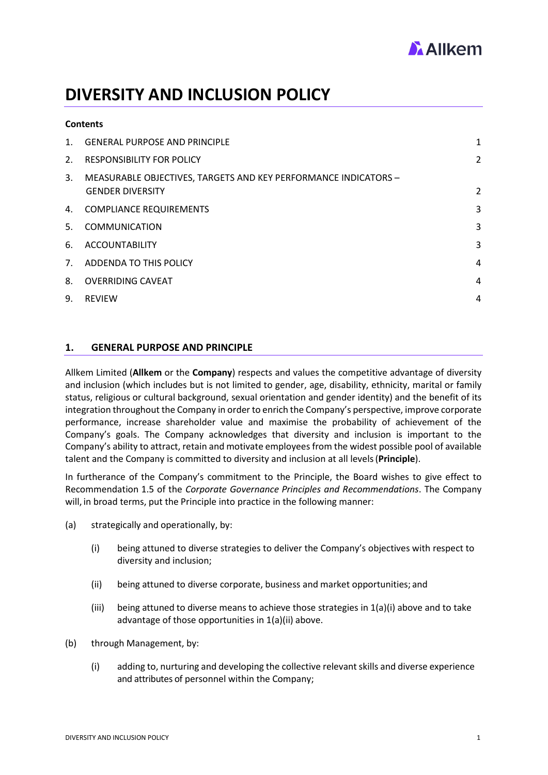

# **DIVERSITY AND INCLUSION POLICY**

| <b>Contents</b> |                                                                                            |                |
|-----------------|--------------------------------------------------------------------------------------------|----------------|
| $\mathbf{1}$ .  | <b>GENERAL PURPOSE AND PRINCIPLE</b>                                                       | 1              |
| 2.              | <b>RESPONSIBILITY FOR POLICY</b>                                                           | $\overline{2}$ |
| 3.              | MEASURABLE OBJECTIVES, TARGETS AND KEY PERFORMANCE INDICATORS -<br><b>GENDER DIVERSITY</b> | $\overline{2}$ |
|                 | 4. COMPLIANCE REQUIREMENTS                                                                 | 3              |
| 5.              | <b>COMMUNICATION</b>                                                                       | 3              |
| 6.              | <b>ACCOUNTABILITY</b>                                                                      | 3              |
| 7 <sub>1</sub>  | ADDENDA TO THIS POLICY                                                                     | 4              |
| 8.              | <b>OVERRIDING CAVEAT</b>                                                                   | 4              |
| 9.              | <b>REVIEW</b>                                                                              | 4              |

#### <span id="page-0-0"></span>**1. GENERAL PURPOSE AND PRINCIPLE**

Allkem Limited (**Allkem** or the **Company**) respects and values the competitive advantage of diversity and inclusion (which includes but is not limited to gender, age, disability, ethnicity, marital or family status, religious or cultural background, sexual orientation and gender identity) and the benefit of its integration throughout the Company in order to enrich the Company's perspective, improve corporate performance, increase shareholder value and maximise the probability of achievement of the Company's goals. The Company acknowledges that diversity and inclusion is important to the Company's ability to attract, retain and motivate employees from the widest possible pool of available talent and the Company is committed to diversity and inclusion at all levels(**Principle**).

In furtherance of the Company's commitment to the Principle, the Board wishes to give effect to Recommendation 1.5 of the *Corporate Governance Principles and Recommendations*. The Company will, in broad terms, put the Principle into practice in the following manner:

- (a) strategically and operationally, by:
	- (i) being attuned to diverse strategies to deliver the Company's objectives with respect to diversity and inclusion;
	- (ii) being attuned to diverse corporate, business and market opportunities; and
	- (iii) being attuned to diverse means to achieve those strategies in  $1(a)(i)$  above and to take advantage of those opportunities in 1(a)(ii) above.
- (b) through Management, by:
	- (i) adding to, nurturing and developing the collective relevantskills and diverse experience and attributes of personnel within the Company;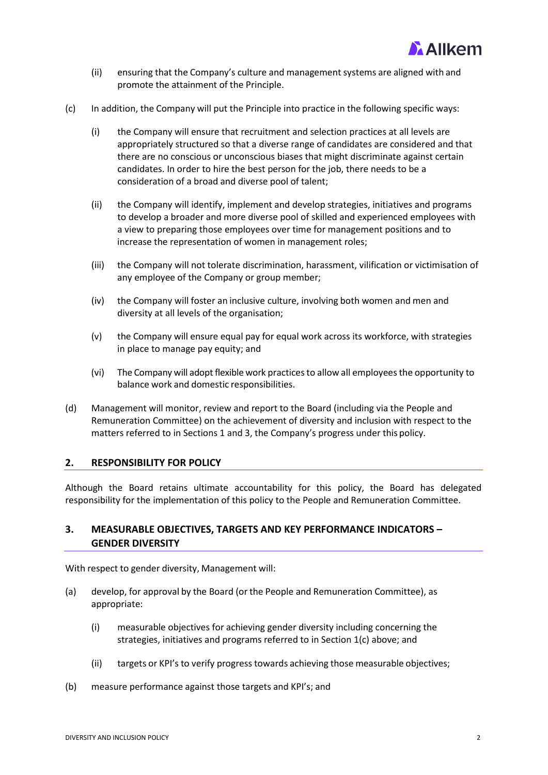

- (ii) ensuring that the Company's culture and management systems are aligned with and promote the attainment of the Principle.
- (c) In addition, the Company will put the Principle into practice in the following specific ways:
	- (i) the Company will ensure that recruitment and selection practices at all levels are appropriately structured so that a diverse range of candidates are considered and that there are no conscious or unconscious biases that might discriminate against certain candidates. In order to hire the best person for the job, there needs to be a consideration of a broad and diverse pool of talent;
	- (ii) the Company will identify, implement and develop strategies, initiatives and programs to develop a broader and more diverse pool of skilled and experienced employees with a view to preparing those employees over time for management positions and to increase the representation of women in management roles;
	- (iii) the Company will not tolerate discrimination, harassment, vilification or victimisation of any employee of the Company or group member;
	- (iv) the Company will foster an inclusive culture, involving both women and men and diversity at all levels of the organisation;
	- (v) the Company will ensure equal pay for equal work across its workforce, with strategies in place to manage pay equity; and
	- (vi) The Company will adopt flexible work practicesto allow all employeesthe opportunity to balance work and domestic responsibilities.
- (d) Management will monitor, review and report to the Board (including via the People and Remuneration Committee) on the achievement of diversity and inclusion with respect to the matters referred to in Sections 1 and 3, the Company's progress under this policy.

# <span id="page-1-0"></span>**2. RESPONSIBILITY FOR POLICY**

Although the Board retains ultimate accountability for this policy, the Board has delegated responsibility for the implementation of this policy to the People and Remuneration Committee.

# <span id="page-1-1"></span>**3. MEASURABLE OBJECTIVES, TARGETS AND KEY PERFORMANCE INDICATORS – GENDER DIVERSITY**

With respect to gender diversity, Management will:

- (a) develop, for approval by the Board (or the People and Remuneration Committee), as appropriate:
	- (i) measurable objectives for achieving gender diversity including concerning the strategies, initiatives and programs referred to in Section 1(c) above; and
	- (ii) targets or KPI's to verify progress towards achieving those measurable objectives;
- (b) measure performance against those targets and KPI's; and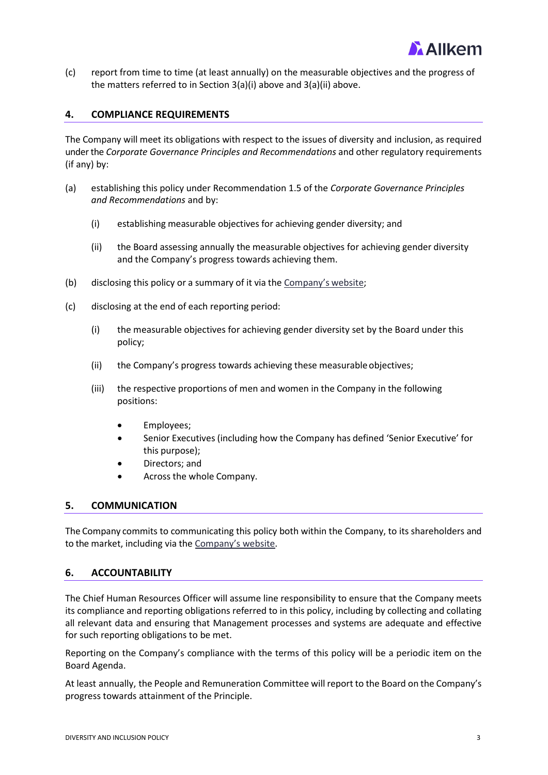

(c) report from time to time (at least annually) on the measurable objectives and the progress of the matters referred to in Section 3(a)(i) above and 3(a)(ii) above.

## <span id="page-2-0"></span>**4. COMPLIANCE REQUIREMENTS**

The Company will meet its obligations with respect to the issues of diversity and inclusion, as required under the *Corporate Governance Principles and Recommendations* and other regulatory requirements (if any) by:

- (a) establishing this policy under Recommendation 1.5 of the *Corporate Governance Principles and Recommendations* and by:
	- (i) establishing measurable objectives for achieving gender diversity; and
	- (ii) the Board assessing annually the measurable objectives for achieving gender diversity and the Company's progress towards achieving them.
- (b) disclosing this policy or a summary of it via th[e Company's](https://www.orocobre.com/corporate-responsibility/corporate-governance/) website;
- (c) disclosing at the end of each reporting period:
	- (i) the measurable objectives for achieving gender diversity set by the Board under this policy;
	- (ii) the Company's progress towards achieving these measurable objectives;
	- (iii) the respective proportions of men and women in the Company in the following positions:
		- Employees;
		- Senior Executives (including how the Company has defined 'Senior Executive' for this purpose);
		- Directors; and
		- Across the whole Company.

#### <span id="page-2-1"></span>**5. COMMUNICATION**

The Company commits to communicating this policy both within the Company, to its shareholders and to the market, including via the [Company's website.](https://www.allkem.co/)

#### <span id="page-2-2"></span>**6. ACCOUNTABILITY**

The Chief Human Resources Officer will assume line responsibility to ensure that the Company meets its compliance and reporting obligations referred to in this policy, including by collecting and collating all relevant data and ensuring that Management processes and systems are adequate and effective for such reporting obligations to be met.

Reporting on the Company's compliance with the terms of this policy will be a periodic item on the Board Agenda.

At least annually, the People and Remuneration Committee will report to the Board on the Company's progress towards attainment of the Principle.